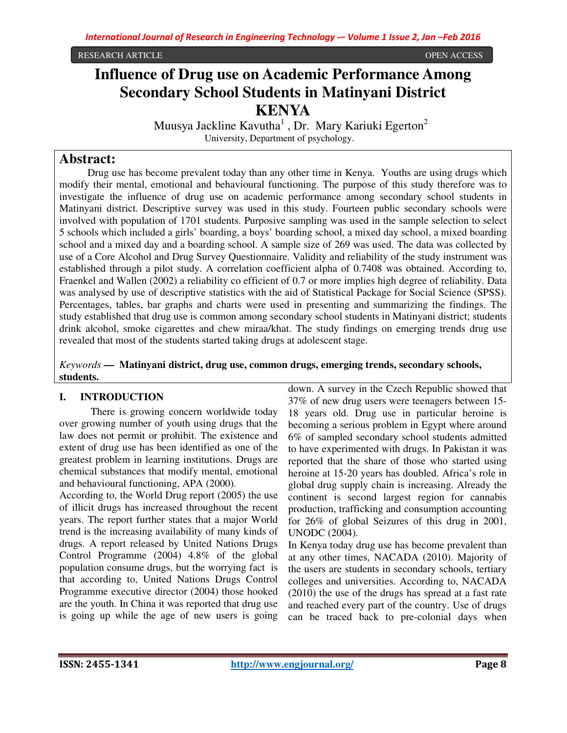RESEARCH ARTICLE OPEN ACCESS

# **Influence of Drug use on Academic Performance Among Secondary School Students in Matinyani District KENYA**

Muusya Jackline Kavutha<sup>1</sup>, Dr. Mary Kariuki Egerton<sup>2</sup> University, Department of psychology.

# **Abstract:**

 Drug use has become prevalent today than any other time in Kenya. Youths are using drugs which modify their mental, emotional and behavioural functioning. The purpose of this study therefore was to investigate the influence of drug use on academic performance among secondary school students in Matinyani district. Descriptive survey was used in this study. Fourteen public secondary schools were involved with population of 1701 students. Purposive sampling was used in the sample selection to select 5 schools which included a girls' boarding, a boys' boarding school, a mixed day school, a mixed boarding school and a mixed day and a boarding school. A sample size of 269 was used. The data was collected by use of a Core Alcohol and Drug Survey Questionnaire. Validity and reliability of the study instrument was established through a pilot study. A correlation coefficient alpha of 0.7408 was obtained. According to, Fraenkel and Wallen (2002) a reliability co efficient of 0.7 or more implies high degree of reliability. Data was analysed by use of descriptive statistics with the aid of Statistical Package for Social Science (SPSS). Percentages, tables, bar graphs and charts were used in presenting and summarizing the findings. The study established that drug use is common among secondary school students in Matinyani district; students drink alcohol, smoke cigarettes and chew miraa/khat. The study findings on emerging trends drug use revealed that most of the students started taking drugs at adolescent stage.

*Keywords* **— Matinyani district, drug use, common drugs, emerging trends, secondary schools, students.**

# **I. INTRODUCTION**

 There is growing concern worldwide today over growing number of youth using drugs that the law does not permit or prohibit. The existence and extent of drug use has been identified as one of the greatest problem in learning institutions. Drugs are chemical substances that modify mental, emotional and behavioural functioning, APA (2000).

According to, the World Drug report (2005) the use of illicit drugs has increased throughout the recent years. The report further states that a major World trend is the increasing availability of many kinds of drugs. A report released by United Nations Drugs Control Programme (2004) 4.8% of the global population consume drugs, but the worrying fact is that according to, United Nations Drugs Control Programme executive director (2004) those hooked are the youth. In China it was reported that drug use is going up while the age of new users is going

down. A survey in the Czech Republic showed that 37% of new drug users were teenagers between 15- 18 years old. Drug use in particular heroine is becoming a serious problem in Egypt where around 6% of sampled secondary school students admitted to have experimented with drugs. In Pakistan it was reported that the share of those who started using heroine at 15-20 years has doubled. Africa's role in global drug supply chain is increasing. Already the continent is second largest region for cannabis production, trafficking and consumption accounting for 26% of global Seizures of this drug in 2001, UNODC (2004).

In Kenya today drug use has become prevalent than at any other times, NACADA (2010). Majority of the users are students in secondary schools, tertiary colleges and universities. According to, NACADA (2010) the use of the drugs has spread at a fast rate and reached every part of the country. Use of drugs can be traced back to pre-colonial days when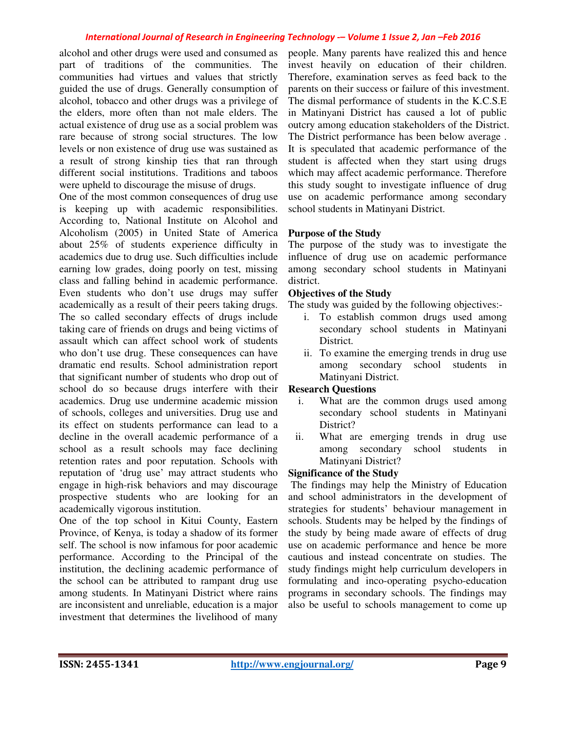alcohol and other drugs were used and consumed as part of traditions of the communities. The communities had virtues and values that strictly guided the use of drugs. Generally consumption of alcohol, tobacco and other drugs was a privilege of the elders, more often than not male elders. The actual existence of drug use as a social problem was rare because of strong social structures. The low levels or non existence of drug use was sustained as a result of strong kinship ties that ran through different social institutions. Traditions and taboos were upheld to discourage the misuse of drugs.

One of the most common consequences of drug use is keeping up with academic responsibilities. According to, National Institute on Alcohol and Alcoholism (2005) in United State of America about 25% of students experience difficulty in academics due to drug use. Such difficulties include earning low grades, doing poorly on test, missing class and falling behind in academic performance. Even students who don't use drugs may suffer academically as a result of their peers taking drugs. The so called secondary effects of drugs include taking care of friends on drugs and being victims of assault which can affect school work of students who don't use drug. These consequences can have dramatic end results. School administration report that significant number of students who drop out of school do so because drugs interfere with their academics. Drug use undermine academic mission of schools, colleges and universities. Drug use and its effect on students performance can lead to a decline in the overall academic performance of a school as a result schools may face declining retention rates and poor reputation. Schools with reputation of 'drug use' may attract students who engage in high-risk behaviors and may discourage prospective students who are looking for an academically vigorous institution.

One of the top school in Kitui County, Eastern Province, of Kenya, is today a shadow of its former self. The school is now infamous for poor academic performance. According to the Principal of the institution, the declining academic performance of the school can be attributed to rampant drug use among students. In Matinyani District where rains are inconsistent and unreliable, education is a major investment that determines the livelihood of many

people. Many parents have realized this and hence invest heavily on education of their children. Therefore, examination serves as feed back to the parents on their success or failure of this investment. The dismal performance of students in the K.C.S.E in Matinyani District has caused a lot of public outcry among education stakeholders of the District. The District performance has been below average . It is speculated that academic performance of the student is affected when they start using drugs which may affect academic performance. Therefore this study sought to investigate influence of drug use on academic performance among secondary school students in Matinyani District.

#### **Purpose of the Study**

The purpose of the study was to investigate the influence of drug use on academic performance among secondary school students in Matinyani district.

#### **Objectives of the Study**

The study was guided by the following objectives:-

- i. To establish common drugs used among secondary school students in Matinyani District.
- ii. To examine the emerging trends in drug use among secondary school students in Matinyani District.

#### **Research Questions**

- i. What are the common drugs used among secondary school students in Matinyani District?
- ii. What are emerging trends in drug use among secondary school students in Matinyani District?

#### **Significance of the Study**

 The findings may help the Ministry of Education and school administrators in the development of strategies for students' behaviour management in schools. Students may be helped by the findings of the study by being made aware of effects of drug use on academic performance and hence be more cautious and instead concentrate on studies. The study findings might help curriculum developers in formulating and inco-operating psycho-education programs in secondary schools. The findings may also be useful to schools management to come up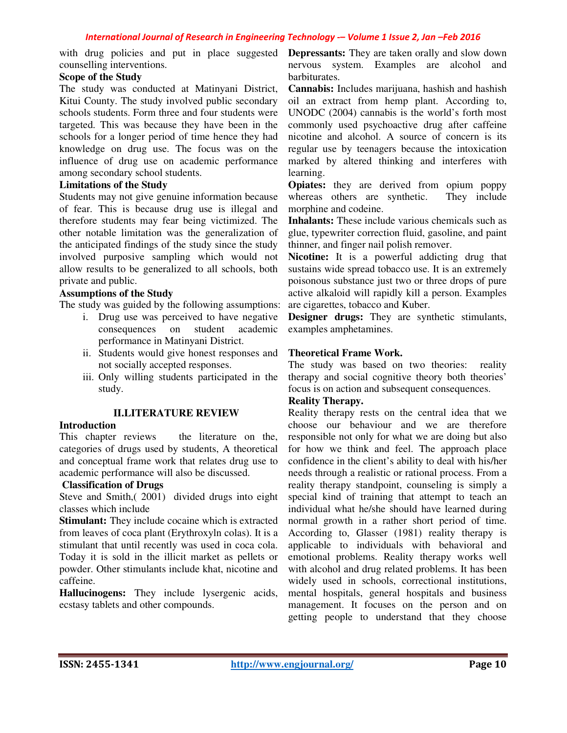counselling interventions.

### **Scope of the Study**

The study was conducted at Matinyani District, Kitui County. The study involved public secondary schools students. Form three and four students were targeted. This was because they have been in the schools for a longer period of time hence they had knowledge on drug use. The focus was on the influence of drug use on academic performance among secondary school students.

### **Limitations of the Study**

Students may not give genuine information because of fear. This is because drug use is illegal and therefore students may fear being victimized. The other notable limitation was the generalization of the anticipated findings of the study since the study involved purposive sampling which would not allow results to be generalized to all schools, both private and public.

### **Assumptions of the Study**

The study was guided by the following assumptions:

- i. Drug use was perceived to have negative consequences on student academic performance in Matinyani District.
- ii. Students would give honest responses and not socially accepted responses.
- iii. Only willing students participated in the study.

### **II.LITERATURE REVIEW**

### **Introduction**

This chapter reviews the literature on the, categories of drugs used by students, A theoretical and conceptual frame work that relates drug use to academic performance will also be discussed.

### **Classification of Drugs**

Steve and Smith,( 2001) divided drugs into eight classes which include

**Stimulant:** They include cocaine which is extracted from leaves of coca plant (Erythroxyln colas). It is a stimulant that until recently was used in coca cola. Today it is sold in the illicit market as pellets or powder. Other stimulants include khat, nicotine and caffeine.

**Hallucinogens:** They include lysergenic acids, ecstasy tablets and other compounds.

with drug policies and put in place suggested **Depressants:** They are taken orally and slow down nervous system. Examples are alcohol and barbiturates.

> **Cannabis:** Includes marijuana, hashish and hashish oil an extract from hemp plant. According to, UNODC (2004) cannabis is the world's forth most commonly used psychoactive drug after caffeine nicotine and alcohol. A source of concern is its regular use by teenagers because the intoxication marked by altered thinking and interferes with learning.

> **Opiates:** they are derived from opium poppy whereas others are synthetic. They include morphine and codeine.

> **Inhalants:** These include various chemicals such as glue, typewriter correction fluid, gasoline, and paint thinner, and finger nail polish remover.

> **Nicotine:** It is a powerful addicting drug that sustains wide spread tobacco use. It is an extremely poisonous substance just two or three drops of pure active alkaloid will rapidly kill a person. Examples are cigarettes, tobacco and Kuber.

> **Designer drugs:** They are synthetic stimulants, examples amphetamines.

### **Theoretical Frame Work.**

The study was based on two theories: reality therapy and social cognitive theory both theories' focus is on action and subsequent consequences.

### **Reality Therapy.**

Reality therapy rests on the central idea that we choose our behaviour and we are therefore responsible not only for what we are doing but also for how we think and feel. The approach place confidence in the client's ability to deal with his/her needs through a realistic or rational process. From a reality therapy standpoint, counseling is simply a special kind of training that attempt to teach an individual what he/she should have learned during normal growth in a rather short period of time. According to, Glasser (1981) reality therapy is applicable to individuals with behavioral and emotional problems. Reality therapy works well with alcohol and drug related problems. It has been widely used in schools, correctional institutions, mental hospitals, general hospitals and business management. It focuses on the person and on getting people to understand that they choose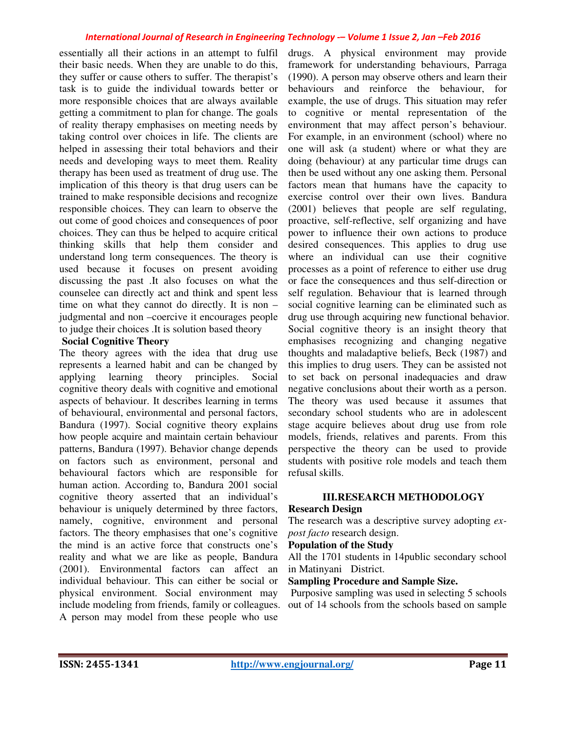essentially all their actions in an attempt to fulfil their basic needs. When they are unable to do this, they suffer or cause others to suffer. The therapist's task is to guide the individual towards better or more responsible choices that are always available getting a commitment to plan for change. The goals of reality therapy emphasises on meeting needs by taking control over choices in life. The clients are helped in assessing their total behaviors and their needs and developing ways to meet them. Reality therapy has been used as treatment of drug use. The implication of this theory is that drug users can be trained to make responsible decisions and recognize responsible choices. They can learn to observe the out come of good choices and consequences of poor choices. They can thus be helped to acquire critical thinking skills that help them consider and understand long term consequences. The theory is used because it focuses on present avoiding discussing the past .It also focuses on what the counselee can directly act and think and spent less time on what they cannot do directly. It is non – judgmental and non –coercive it encourages people to judge their choices .It is solution based theory

### **Social Cognitive Theory**

The theory agrees with the idea that drug use represents a learned habit and can be changed by applying learning theory principles. Social cognitive theory deals with cognitive and emotional aspects of behaviour. It describes learning in terms of behavioural, environmental and personal factors, Bandura (1997). Social cognitive theory explains how people acquire and maintain certain behaviour patterns, Bandura (1997). Behavior change depends on factors such as environment, personal and behavioural factors which are responsible for human action. According to, Bandura 2001 social cognitive theory asserted that an individual's behaviour is uniquely determined by three factors, namely, cognitive, environment and personal factors. The theory emphasises that one's cognitive the mind is an active force that constructs one's reality and what we are like as people, Bandura (2001). Environmental factors can affect an individual behaviour. This can either be social or physical environment. Social environment may include modeling from friends, family or colleagues. A person may model from these people who use

drugs. A physical environment may provide framework for understanding behaviours, Parraga (1990). A person may observe others and learn their behaviours and reinforce the behaviour, for example, the use of drugs. This situation may refer to cognitive or mental representation of the environment that may affect person's behaviour. For example, in an environment (school) where no one will ask (a student) where or what they are doing (behaviour) at any particular time drugs can then be used without any one asking them. Personal factors mean that humans have the capacity to exercise control over their own lives. Bandura (2001) believes that people are self regulating, proactive, self-reflective, self organizing and have power to influence their own actions to produce desired consequences. This applies to drug use where an individual can use their cognitive processes as a point of reference to either use drug or face the consequences and thus self-direction or self regulation. Behaviour that is learned through social cognitive learning can be eliminated such as drug use through acquiring new functional behavior. Social cognitive theory is an insight theory that emphasises recognizing and changing negative thoughts and maladaptive beliefs, Beck (1987) and this implies to drug users. They can be assisted not to set back on personal inadequacies and draw negative conclusions about their worth as a person. The theory was used because it assumes that secondary school students who are in adolescent stage acquire believes about drug use from role models, friends, relatives and parents. From this perspective the theory can be used to provide students with positive role models and teach them refusal skills.

### **III.RESEARCH METHODOLOGY**

#### **Research Design**

The research was a descriptive survey adopting *expost facto* research design.

### **Population of the Study**

All the 1701 students in 14public secondary school in Matinyani District.

### **Sampling Procedure and Sample Size.**

 Purposive sampling was used in selecting 5 schools out of 14 schools from the schools based on sample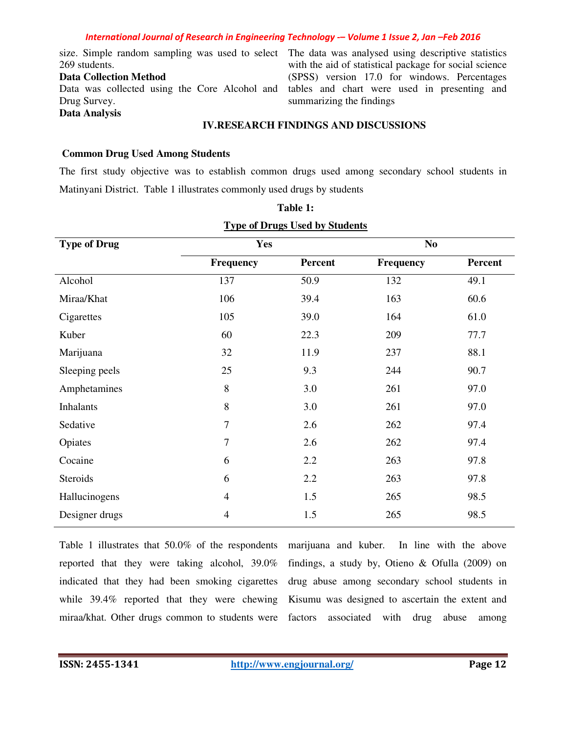269 students.

#### **Data Collection Method**

Data was collected using the Core Alcohol and Drug Survey. **Data Analysis** 

size. Simple random sampling was used to select The data was analysed using descriptive statistics with the aid of statistical package for social science (SPSS) version 17.0 for windows. Percentages tables and chart were used in presenting and summarizing the findings

### **IV.RESEARCH FINDINGS AND DISCUSSIONS**

### **Common Drug Used Among Students**

The first study objective was to establish common drugs used among secondary school students in Matinyani District. Table 1 illustrates commonly used drugs by students

| <b>Type of Drug</b> | Yes            |                | N <sub>0</sub>   |         |  |  |  |  |
|---------------------|----------------|----------------|------------------|---------|--|--|--|--|
|                     | Frequency      | <b>Percent</b> | <b>Frequency</b> | Percent |  |  |  |  |
| Alcohol             | 137            | 50.9           | 132              | 49.1    |  |  |  |  |
| Miraa/Khat          | 106            | 39.4           | 163              | 60.6    |  |  |  |  |
| Cigarettes          | 105            | 39.0           | 164              | 61.0    |  |  |  |  |
| Kuber               | 60             | 22.3           | 209              | 77.7    |  |  |  |  |
| Marijuana           | 32             | 11.9           | 237              | 88.1    |  |  |  |  |
| Sleeping peels      | 25             | 9.3            | 244              | 90.7    |  |  |  |  |
| Amphetamines        | 8              | 3.0            | 261              | 97.0    |  |  |  |  |
| <b>Inhalants</b>    | 8              | 3.0            | 261              | 97.0    |  |  |  |  |
| Sedative            | $\tau$         | 2.6            | 262              | 97.4    |  |  |  |  |
| Opiates             | 7              | 2.6            | 262              | 97.4    |  |  |  |  |
| Cocaine             | 6              | 2.2            | 263              | 97.8    |  |  |  |  |
| Steroids            | 6              | 2.2            | 263              | 97.8    |  |  |  |  |
| Hallucinogens       | $\overline{4}$ | 1.5            | 265              | 98.5    |  |  |  |  |
| Designer drugs      | $\overline{4}$ | 1.5            | 265              | 98.5    |  |  |  |  |

# **Table 1: Type of Drugs Used by Students**

Table 1 illustrates that 50.0% of the respondents reported that they were taking alcohol, 39.0% indicated that they had been smoking cigarettes while 39.4% reported that they were chewing miraa/khat. Other drugs common to students were factors associated with drug abuse among

marijuana and kuber. In line with the above findings, a study by, Otieno & Ofulla (2009) on drug abuse among secondary school students in Kisumu was designed to ascertain the extent and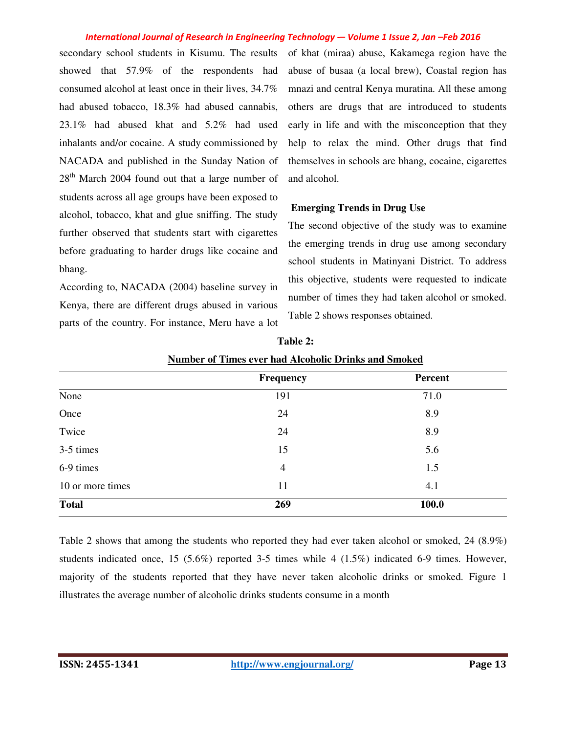secondary school students in Kisumu. The results showed that 57.9% of the respondents had consumed alcohol at least once in their lives, 34.7% had abused tobacco, 18.3% had abused cannabis, 23.1% had abused khat and 5.2% had used inhalants and/or cocaine. A study commissioned by NACADA and published in the Sunday Nation of  $28<sup>th</sup>$  March 2004 found out that a large number of students across all age groups have been exposed to alcohol, tobacco, khat and glue sniffing. The study further observed that students start with cigarettes before graduating to harder drugs like cocaine and bhang.

According to, NACADA (2004) baseline survey in Kenya, there are different drugs abused in various parts of the country. For instance, Meru have a lot of khat (miraa) abuse, Kakamega region have the abuse of busaa (a local brew), Coastal region has mnazi and central Kenya muratina. All these among others are drugs that are introduced to students early in life and with the misconception that they help to relax the mind. Other drugs that find themselves in schools are bhang, cocaine, cigarettes and alcohol.

#### **Emerging Trends in Drug Use**

The second objective of the study was to examine the emerging trends in drug use among secondary school students in Matinyani District. To address this objective, students were requested to indicate number of times they had taken alcohol or smoked. Table 2 shows responses obtained.

|                  | <b>Number of Thines ever had Alcoholic Drillks and Shioked</b> |         |  |  |  |  |  |
|------------------|----------------------------------------------------------------|---------|--|--|--|--|--|
|                  | <b>Frequency</b>                                               | Percent |  |  |  |  |  |
| None             | 191                                                            | 71.0    |  |  |  |  |  |
| Once             | 24                                                             | 8.9     |  |  |  |  |  |
| Twice            | 24                                                             | 8.9     |  |  |  |  |  |
| 3-5 times        | 15                                                             | 5.6     |  |  |  |  |  |
| 6-9 times        | $\overline{4}$                                                 | 1.5     |  |  |  |  |  |
| 10 or more times | 11                                                             | 4.1     |  |  |  |  |  |
| <b>Total</b>     | 269                                                            | 100.0   |  |  |  |  |  |

| Table 2:                                             |  |
|------------------------------------------------------|--|
| Number of Times ever had Alcoholic Drinks and Smoked |  |

Table 2 shows that among the students who reported they had ever taken alcohol or smoked, 24 (8.9%) students indicated once, 15 (5.6%) reported 3-5 times while 4 (1.5%) indicated 6-9 times. However, majority of the students reported that they have never taken alcoholic drinks or smoked. Figure 1 illustrates the average number of alcoholic drinks students consume in a month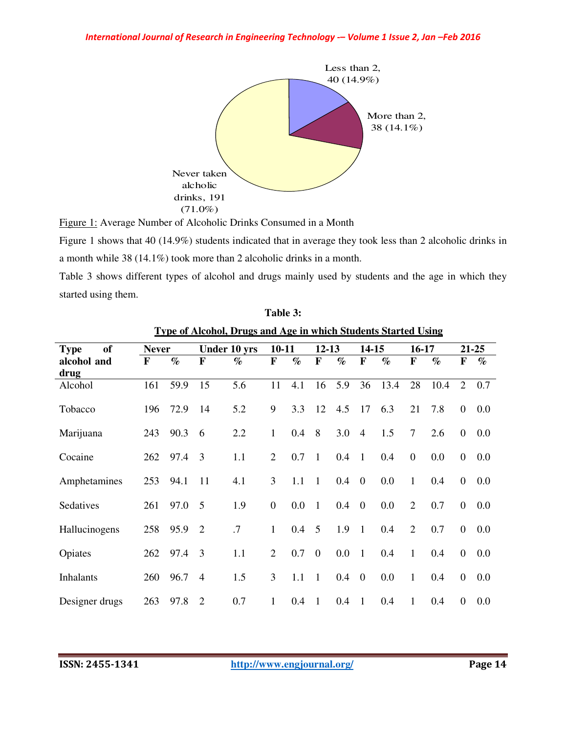

Figure 1: Average Number of Alcoholic Drinks Consumed in a Month

Figure 1 shows that 40 (14.9%) students indicated that in average they took less than 2 alcoholic drinks in a month while 38 (14.1%) took more than 2 alcoholic drinks in a month.

Table 3 shows different types of alcohol and drugs mainly used by students and the age in which they started using them.

| <b>Type of Alcohol, Drugs and Age in which Students Started Using</b> |              |      |                |      |                        |         |                |         |                |         |                  |       |                |      |
|-----------------------------------------------------------------------|--------------|------|----------------|------|------------------------|---------|----------------|---------|----------------|---------|------------------|-------|----------------|------|
| <b>of</b><br><b>Type</b>                                              | <b>Never</b> |      | Under 10 yrs   |      | $10 - 11$<br>$12 - 13$ |         |                | 14-15   |                | $16-17$ |                  | 21-25 |                |      |
| alcohol and                                                           | F            | $\%$ | F              | $\%$ | F                      | $\%$    | $\mathbf F$    | $\%$    | F              | $\%$    | F                | $\%$  | F              | $\%$ |
| drug<br>Alcohol                                                       | 161          | 59.9 | 15             | 5.6  | 11                     | 4.1     | 16             | 5.9     | 36             | 13.4    | 28               | 10.4  | 2              | 0.7  |
| Tobacco                                                               | 196          | 72.9 | 14             | 5.2  | 9                      | 3.3     | 12             | 4.5     | 17             | 6.3     | 21               | 7.8   | $\overline{0}$ | 0.0  |
| Marijuana                                                             | 243          | 90.3 | 6              | 2.2  | $\mathbf{1}$           | 0.4     | 8              | 3.0     | $\overline{4}$ | 1.5     | $\overline{7}$   | 2.6   | $\overline{0}$ | 0.0  |
| Cocaine                                                               | 262          | 97.4 | 3              | 1.1  | 2                      | 0.7     | 1              | 0.4     | $\overline{1}$ | 0.4     | $\boldsymbol{0}$ | 0.0   | $\overline{0}$ | 0.0  |
| Amphetamines                                                          | 253          | 94.1 | 11             | 4.1  | 3                      | 1.1     | $\mathbf{1}$   | 0.4     | $\overline{0}$ | 0.0     | $\mathbf{1}$     | 0.4   | $\overline{0}$ | 0.0  |
| Sedatives                                                             | 261          | 97.0 | 5              | 1.9  | $\overline{0}$         | 0.0     | $\mathbf{1}$   | 0.4     | $\overline{0}$ | 0.0     | 2                | 0.7   | $\overline{0}$ | 0.0  |
| Hallucinogens                                                         | 258          | 95.9 | $\overline{2}$ | .7   | $\mathbf{1}$           | $0.4\,$ | 5              | 1.9     | $\overline{1}$ | 0.4     | 2                | 0.7   | $\overline{0}$ | 0.0  |
| Opiates                                                               | 262          | 97.4 | 3              | 1.1  | 2                      | 0.7     | $\overline{0}$ | $0.0\,$ | $\mathbf{1}$   | 0.4     | $\mathbf{1}$     | 0.4   | $\theta$       | 0.0  |
| Inhalants                                                             | 260          | 96.7 | $\overline{4}$ | 1.5  | 3                      | 1.1     | $\mathbf{1}$   | 0.4     | $\overline{0}$ | 0.0     | 1                | 0.4   | $\theta$       | 0.0  |
| Designer drugs                                                        | 263          | 97.8 | $\overline{2}$ | 0.7  | 1                      | 0.4     | $\mathbf{1}$   | 0.4     | $\overline{1}$ | 0.4     | 1                | 0.4   | $\theta$       | 0.0  |

| Table 3:                                                       |  |
|----------------------------------------------------------------|--|
| Fype of Alcohol. Drugs and Age in which Students Started Using |  |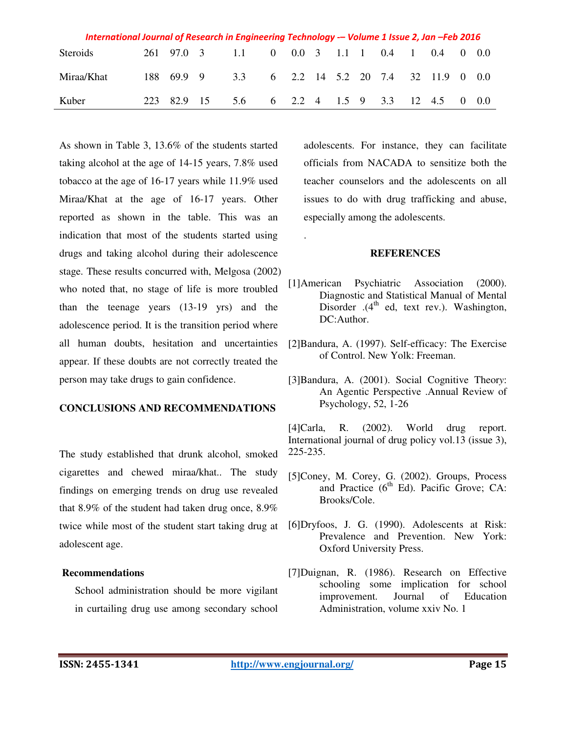| International Journal of Research in Engineering Technology -- Volume 1 Issue 2, Jan -Feb 2016 |  |  |             |                                              |  |  |  |  |  |  |  |  |  |
|------------------------------------------------------------------------------------------------|--|--|-------------|----------------------------------------------|--|--|--|--|--|--|--|--|--|
| Steroids                                                                                       |  |  |             | 261 97.0 3 1.1 0 0.0 3 1.1 1 0.4 1 0.4 0 0.0 |  |  |  |  |  |  |  |  |  |
| Miraa/Khat                                                                                     |  |  | 188 69.9 9  | 3.3 6 2.2 14 5.2 20 7.4 32 11.9 0 0.0        |  |  |  |  |  |  |  |  |  |
| Kuber                                                                                          |  |  | 223 82.9 15 | 5.6 6 2.2 4 1.5 9 3.3 12 4.5 0 0.0           |  |  |  |  |  |  |  |  |  |

.

As shown in Table 3, 13.6% of the students started taking alcohol at the age of 14-15 years, 7.8% used tobacco at the age of 16-17 years while 11.9% used Miraa/Khat at the age of 16-17 years. Other reported as shown in the table. This was an indication that most of the students started using drugs and taking alcohol during their adolescence stage. These results concurred with, Melgosa (2002) who noted that, no stage of life is more troubled than the teenage years (13-19 yrs) and the adolescence period. It is the transition period where all human doubts, hesitation and uncertainties appear. If these doubts are not correctly treated the person may take drugs to gain confidence.

### **CONCLUSIONS AND RECOMMENDATIONS**

The study established that drunk alcohol, smoked cigarettes and chewed miraa/khat.. The study findings on emerging trends on drug use revealed that 8.9% of the student had taken drug once, 8.9% twice while most of the student start taking drug at adolescent age.

### **Recommendations**

School administration should be more vigilant in curtailing drug use among secondary school

adolescents. For instance, they can facilitate officials from NACADA to sensitize both the teacher counselors and the adolescents on all issues to do with drug trafficking and abuse, especially among the adolescents.

### **REFERENCES**

- [1]American Psychiatric Association (2000). Diagnostic and Statistical Manual of Mental Disorder .(4<sup>th</sup> ed, text rev.). Washington, DC:Author.
- [2]Bandura, A. (1997). Self-efficacy: The Exercise of Control. New Yolk: Freeman.
- [3]Bandura, A. (2001). Social Cognitive Theor*y*: An Agentic Perspective .Annual Review of Psychology, 52, 1-26

[4]Carla, R. (2002). World drug report. International journal of drug policy vol.13 (issue 3), 225-235.

- [5]Coney, M. Corey, G. (2002). Groups, Process and Practice  $(6^{th}$  Ed). Pacific Grove; CA: Brooks/Cole.
- [6]Dryfoos, J. G. (1990). Adolescents at Risk: Prevalence and Prevention. New York: Oxford University Press.
- [7]Duignan, R. (1986). Research on Effective schooling some implication for school improvement. Journal of Education Administration, volume xxiv No. 1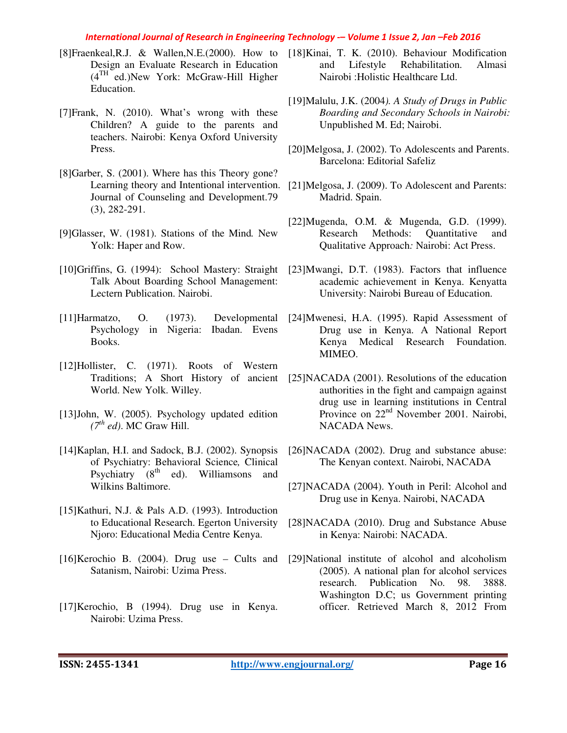- [8]Fraenkeal,R.J. & Wallen,N.E.(2000). How to [18]Kinai, T. K. (2010). Behaviour Modification Design an Evaluate Research in Education  $(4<sup>TH</sup>$  ed.)New York: McGraw-Hill Higher Education.
- [7]Frank, N. (2010). What's wrong with these Children? A guide to the parents and teachers. Nairobi: Kenya Oxford University Press.
- [8]Garber, S. (2001). Where has this Theory gone? Learning theory and Intentional intervention. Journal of Counseling and Development.79 (3), 282-291.
- [9]Glasser, W. (1981). Stations of the Mind*.* New Yolk: Haper and Row.
- [10]Griffins, G. (1994): School Mastery: Straight Talk About Boarding School Management: Lectern Publication. Nairobi.
- [11]Harmatzo, O. (1973). Developmental Psychology in Nigeria: Ibadan. Evens Books.
- [12]Hollister, C. (1971). Roots of Western World. New Yolk. Willey.
- [13]John, W. (2005). Psychology updated edition  $(7<sup>th</sup> ed)$ . MC Graw Hill.
- [14]Kaplan, H.I. and Sadock, B.J. (2002). Synopsis of Psychiatry: Behavioral Science*,* Clinical Psychiatry (8<sup>th</sup> ed). Williamsons and Wilkins Baltimore.
- [15]Kathuri, N.J. & Pals A.D. (1993). Introduction to Educational Research. Egerton University Njoro: Educational Media Centre Kenya.
- [16]Kerochio B. (2004). Drug use Cults and Satanism, Nairobi: Uzima Press.
- [17]Kerochio, B (1994). Drug use in Kenya. Nairobi: Uzima Press.
- and Lifestyle Rehabilitation. Almasi Nairobi :Holistic Healthcare Ltd.
- [19]Malulu, J.K. (2004*). A Study of Drugs in Public Boarding and Secondary Schools in Nairobi:*  Unpublished M. Ed; Nairobi.
- [20]Melgosa, J. (2002). To Adolescents and Parents. Barcelona: Editorial Safeliz
- [21]Melgosa, J. (2009). To Adolescent and Parents: Madrid. Spain.
- [22]Mugenda, O.M. & Mugenda, G.D. (1999). Research Methods: Quantitative and Qualitative Approach*:* Nairobi: Act Press.
- [23]Mwangi, D.T. (1983). Factors that influence academic achievement in Kenya. Kenyatta University: Nairobi Bureau of Education.
- [24]Mwenesi, H.A. (1995). Rapid Assessment of Drug use in Kenya. A National Report Kenya Medical Research Foundation. MIMEO.
- Traditions; A Short History of ancient [25]NACADA (2001). Resolutions of the education authorities in the fight and campaign against drug use in learning institutions in Central Province on 22nd November 2001. Nairobi, NACADA News.
	- [26]NACADA (2002). Drug and substance abuse: The Kenyan context. Nairobi, NACADA
	- [27]NACADA (2004). Youth in Peril: Alcohol and Drug use in Kenya. Nairobi, NACADA
	- [28]NACADA (2010). Drug and Substance Abuse in Kenya: Nairobi: NACADA.
	- [29]National institute of alcohol and alcoholism (2005). A national plan for alcohol services research. Publication No. 98. 3888. Washington D.C; us Government printing officer. Retrieved March 8, 2012 From